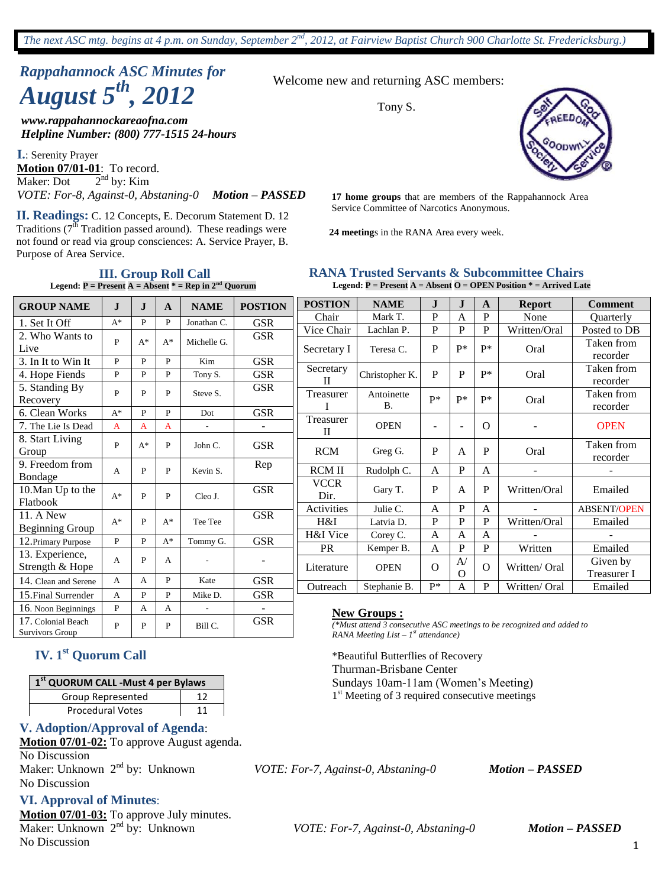# *Rappahannock ASC Minutes for August 5th , 2012*

*www.rappahannockareaofna.com Helpline Number: (800) 777-1515 24-hours*

**I.**: Serenity Prayer **Motion 07/01-01**: To record. Maker: Dot  $2<sup>nd</sup>$  by: Kim *VOTE: For-8, Against-0, Abstaning-0 Motion – PASSED*

Service Committee of Narcotics Anonymous. **II. Readings:** C. 12 Concepts, E. Decorum Statement D. 12 Traditions  $(7^{\overline{th}}$  Tradition passed around). These readings were not found or read via group consciences: A. Service Prayer, B. Purpose of Area Service.

Welcome new and returning ASC members:

Tony S.



**17 home groups** that are members of the Rappahannock Area

**24 meeting**s in the RANA Area every week.

#### **RANA Trusted Servants & Subcommittee Chairs Legend: P = Present A = Absent O = OPEN Position \* = Arrived Late**

**POSTION NAME J J A Report Comment** Chair Mark T. P A P None Quarterly Vice Chair Lachlan P. P P P Written/Oral Posted to DB Secretary I Teresa C. <sup>P</sup> P\* P\* Oral Taken from recorder **Secretary** II Christopher K. <sup>P</sup> <sup>P</sup> P\* Oral Taken from recorder Treasurer I Antoinette binette  $P^*$   $P^*$   $P^*$  Oral Taken from recorder recorder Treasurer  $\begin{array}{c|c|c|c|c|c|c} \hline \text{I} & \text{OPEN} & - & - & 0 & - & - & 0 \ \hline \end{array}$ RCM Greg G. <sup>P</sup> <sup>A</sup> <sup>P</sup> Oral Taken from recorder  $\text{RCM II}$  Rudolph C.  $\begin{array}{|c|c|c|c|c|c|} \hline \text{R} & \text{P} & \text{A} & \text{I} & \text{I} \ \hline \end{array}$ **VCCR**  $\begin{array}{c|c|c|c|c|c} \text{Corr} & \text{Gary T.} & P & A & P & \text{Written/Oral} & \text{Emailed} \\ \hline \end{array}$ Activities Julie C. | A | P | A | - | ABSENT/OPEN H&I Latvia D. P P P Written/Oral Emailed  $H\&I$  Vice  $\left\{ \begin{array}{ccc} \text{Corey C.} & A & A & A \end{array} \right\}$  -  $\left\{ \begin{array}{ccc} \text{Corey C.} & A & A & A \end{array} \right\}$ PR Kemper B. A P P Written Emailed Literature | OPEN | O  $\overline{A/}$ O  $\overline{O}$  Written/ Oral Given by Treasurer I Outreach Stephanie B. P\* A P Written/ Oral Emailed **GROUP NAME J J A NAME POSTION** 1. Set It Off  $A^*$  P P Jonathan C. GSR 2. Who Wants to 2. Who Wants to  $P \mid A^* \mid A^*$  Michelle G. GSR 3. In It to Win It P P P Kim GSR 4. Hope Fiends P P P P Tony S. GSR 5. Standing By  $P \mid P \mid P \mid$  Steve S.  $\mid$  GSR<br>Recovery 6. Clean Works A\* P P Dot GSR 7. The Lie Is Dead  $\begin{array}{|c|c|c|c|c|c|} \hline A & A & A & - & - & - \ \hline \end{array}$ 8. Start Living Group  $P \mid A^* \mid P \mid$  John C. GSR 9. Freedom from  $\begin{array}{|c|c|c|c|c|c|} \hline \end{array}$   $\begin{array}{|c|c|c|c|c|c|} \hline \end{array}$   $\begin{array}{|c|c|c|c|c|} \hline \end{array}$   $\begin{array}{|c|c|c|c|c|} \hline \end{array}$   $\begin{array}{|c|c|c|c|c|} \hline \end{array}$   $\begin{array}{|c|c|c|c|c|} \hline \end{array}$   $\begin{array}{|c|c|c|c|c|} \hline \end{array}$   $\begin{array$ 10.Man Up to the Flatbook A\* <sup>P</sup> <sup>P</sup> Cleo J. GSR 11. A New 11. A New<br>Beginning Group  $A^*$  P  $A^*$  Tee Tee GSR 12. Primary Purpose  $\begin{array}{|c|c|c|c|c|c|c|c|c|} \hline P & P & A^* & \text{Tommy G.} & GSR \\\hline \end{array}$ 13. Experience,  $S$ trength & Hope  $A \mid P \mid A$  -  $\cdot$ 14. Clean and Serene A A P Kate GSR 15.Final Surrender | A | P | P | Mike D. | GSR 16. Noon Beginnings  $\begin{array}{|c|c|c|c|c|c|} \hline P & A & A & - & - \\ \hline \end{array}$ 17. Colonial Beach Survivors Group  $P$   $P$   $P$  Bill C. GSR **New Groups :** *(\*Must attend 3 consecutive ASC meetings to be recognized and added to RANA Meeting List – 1 st attendance)*

## **IV. 1st Quorum Call**

| 1 <sup>st</sup> QUORUM CALL -Must 4 per Bylaws |    |  |  |
|------------------------------------------------|----|--|--|
| Group Represented                              |    |  |  |
| <b>Procedural Votes</b>                        | 11 |  |  |

#### **V. Adoption/Approval of Agenda**:

**Motion 07/01-02:** To approve August agenda. No Discussion Maker: Unknown 2nd by: Unknown *VOTE: For-7, Against-0, Abstaning-0 Motion – PASSED* No Discussion

#### **VI. Approval of Minutes**:

**Motion 07/01-03:** To approve July minutes. Maker: Unknown 2nd by: Unknown *VOTE: For-7, Against-0, Abstaning-0 Motion – PASSED* No Discussion

\*Beautiful Butterflies of Recovery Thurman-Brisbane Center

Sundays 10am-11am (Women's Meeting) 1<sup>st</sup> Meeting of 3 required consecutive meetings

**Legend:**  $P =$  Present  $A =$  Absent  $* =$  Rep in  $2^{nd}$  Quorum

**III. Group Roll Call**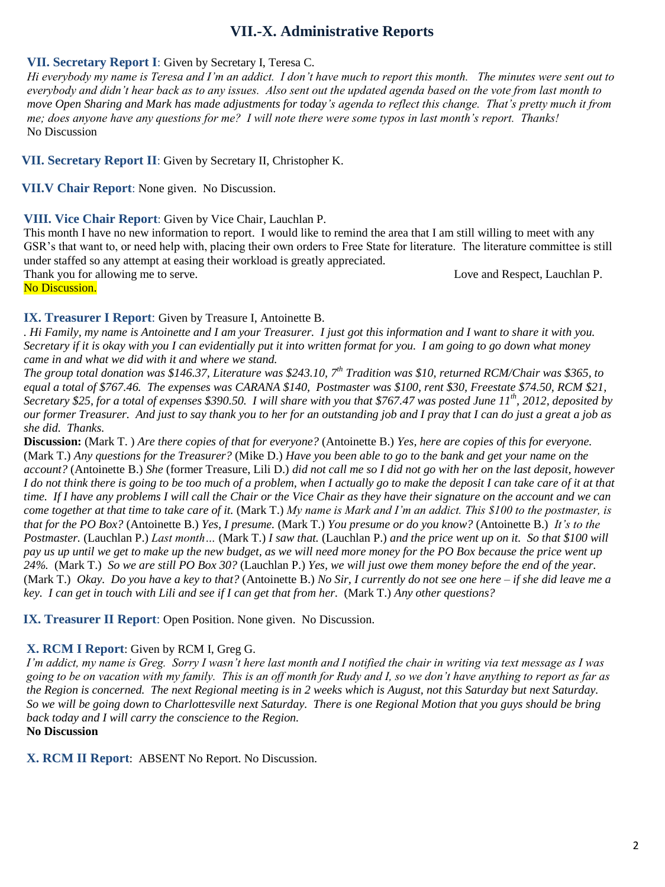## **VII.-X. Administrative Reports**

#### **VII. Secretary Report I**: Given by Secretary I, Teresa C.

*Hi everybody my name is Teresa and I'm an addict. I don't have much to report this month. The minutes were sent out to everybody and didn't hear back as to any issues. Also sent out the updated agenda based on the vote from last month to move Open Sharing and Mark has made adjustments for today's agenda to reflect this change. That's pretty much it from me; does anyone have any questions for me? I will note there were some typos in last month's report. Thanks!* No Discussion

**VII. Secretary Report II**: Given by Secretary II, Christopher K.

**VII.V Chair Report**: None given. No Discussion.

#### **VIII. Vice Chair Report**: Given by Vice Chair, Lauchlan P.

This month I have no new information to report. I would like to remind the area that I am still willing to meet with any GSR's that want to, or need help with, placing their own orders to Free State for literature. The literature committee is still under staffed so any attempt at easing their workload is greatly appreciated.

Thank you for allowing me to serve. Love and Respect, Lauchlan P.

No Discussion.

#### **IX. Treasurer I Report**: Given by Treasure I, Antoinette B.

*. Hi Family, my name is Antoinette and I am your Treasurer. I just got this information and I want to share it with you. Secretary if it is okay with you I can evidentially put it into written format for you. I am going to go down what money came in and what we did with it and where we stand.*

*The group total donation was \$146.37, Literature was \$243.10, 7th Tradition was \$10, returned RCM/Chair was \$365, to equal a total of \$767.46. The expenses was CARANA \$140, Postmaster was \$100, rent \$30, Freestate \$74.50, RCM \$21, Secretary \$25, for a total of expenses \$390.50. I will share with you that \$767.47 was posted June 11th, 2012, deposited by our former Treasurer. And just to say thank you to her for an outstanding job and I pray that I can do just a great a job as she did. Thanks.*

**Discussion:** (Mark T. ) *Are there copies of that for everyone?* (Antoinette B.) *Yes, here are copies of this for everyone.*  (Mark T.) *Any questions for the Treasurer?* (Mike D.) *Have you been able to go to the bank and get your name on the account?* (Antoinette B.) *She* (former Treasure, Lili D.) *did not call me so I did not go with her on the last deposit, however I do not think there is going to be too much of a problem, when I actually go to make the deposit I can take care of it at that time. If I have any problems I will call the Chair or the Vice Chair as they have their signature on the account and we can come together at that time to take care of it.* (Mark T.) *My name is Mark and I'm an addict. This \$100 to the postmaster, is that for the PO Box?* (Antoinette B.) *Yes, I presume.* (Mark T.) *You presume or do you know?* (Antoinette B.) *It's to the Postmaster.* (Lauchlan P.) *Last month…* (Mark T.) *I saw that.* (Lauchlan P.) *and the price went up on it. So that \$100 will pay us up until we get to make up the new budget, as we will need more money for the PO Box because the price went up 24%.* (Mark T.) *So we are still PO Box 30?* (Lauchlan P.) *Yes, we will just owe them money before the end of the year.* (Mark T.) *Okay. Do you have a key to that?* (Antoinette B.) *No Sir, I currently do not see one here – if she did leave me a key. I can get in touch with Lili and see if I can get that from her.* (Mark T.) *Any other questions?*

**IX. Treasurer II Report**: Open Position. None given. No Discussion.

## **X. RCM I Report**: Given by RCM I, Greg G.

*I'm addict, my name is Greg. Sorry I wasn't here last month and I notified the chair in writing via text message as I was going to be on vacation with my family. This is an off month for Rudy and I, so we don't have anything to report as far as the Region is concerned. The next Regional meeting is in 2 weeks which is August, not this Saturday but next Saturday. So we will be going down to Charlottesville next Saturday. There is one Regional Motion that you guys should be bring back today and I will carry the conscience to the Region.* **No Discussion**

**X. RCM II Report**: ABSENT No Report. No Discussion.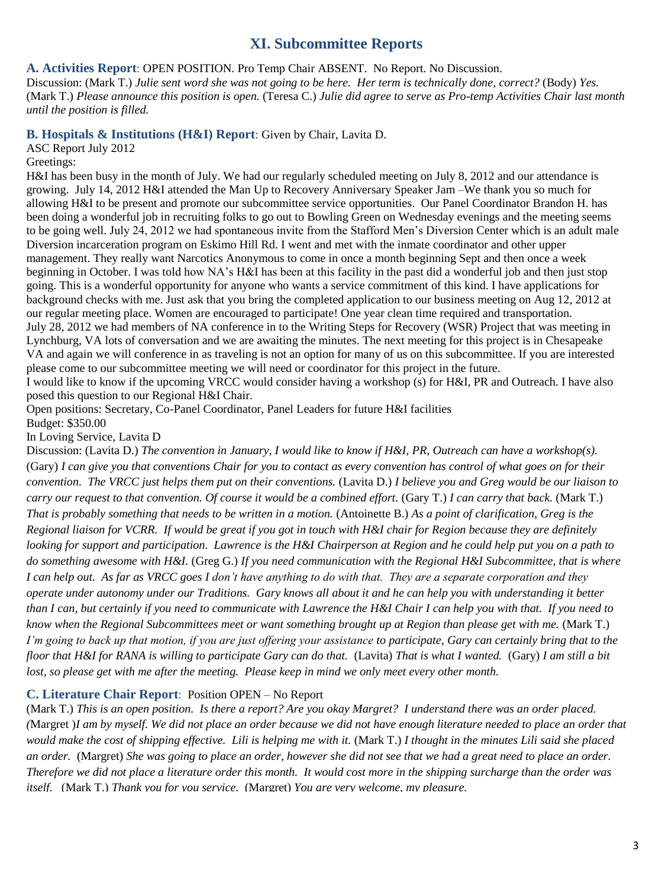## **XI. Subcommittee Reports**

**A. Activities Report**: OPEN POSITION. Pro Temp Chair ABSENT. No Report. No Discussion.

Discussion: (Mark T.) *Julie sent word she was not going to be here. Her term is technically done, correct?* (Body) *Yes.* (Mark T.) *Please announce this position is open.* (Teresa C.) *Julie did agree to serve as Pro-temp Activities Chair last month until the position is filled.*

**B. Hospitals & Institutions (H&I) Report**: Given by Chair, Lavita D.

ASC Report July 2012

#### Greetings:

H&I has been busy in the month of July. We had our regularly scheduled meeting on July 8, 2012 and our attendance is growing. July 14, 2012 H&I attended the Man Up to Recovery Anniversary Speaker Jam –We thank you so much for allowing H&I to be present and promote our subcommittee service opportunities. Our Panel Coordinator Brandon H. has been doing a wonderful job in recruiting folks to go out to Bowling Green on Wednesday evenings and the meeting seems to be going well. July 24, 2012 we had spontaneous invite from the Stafford Men's Diversion Center which is an adult male Diversion incarceration program on Eskimo Hill Rd. I went and met with the inmate coordinator and other upper management. They really want Narcotics Anonymous to come in once a month beginning Sept and then once a week beginning in October. I was told how NA's H&I has been at this facility in the past did a wonderful job and then just stop going. This is a wonderful opportunity for anyone who wants a service commitment of this kind. I have applications for background checks with me. Just ask that you bring the completed application to our business meeting on Aug 12, 2012 at our regular meeting place. Women are encouraged to participate! One year clean time required and transportation. July 28, 2012 we had members of NA conference in to the Writing Steps for Recovery (WSR) Project that was meeting in Lynchburg, VA lots of conversation and we are awaiting the minutes. The next meeting for this project is in Chesapeake VA and again we will conference in as traveling is not an option for many of us on this subcommittee. If you are interested please come to our subcommittee meeting we will need or coordinator for this project in the future. I would like to know if the upcoming VRCC would consider having a workshop (s) for H&I, PR and Outreach. I have also posed this question to our Regional H&I Chair.

Open positions: Secretary, Co-Panel Coordinator, Panel Leaders for future H&I facilities Budget: \$350.00

In Loving Service, Lavita D

Discussion: (Lavita D.) *The convention in January, I would like to know if H&I, PR, Outreach can have a workshop(s).* (Gary) *I can give you that conventions Chair for you to contact as every convention has control of what goes on for their convention. The VRCC just helps them put on their conventions.* (Lavita D.) *I believe you and Greg would be our liaison to carry our request to that convention. Of course it would be a combined effort.* (Gary T.) *I can carry that back.* (Mark T.) *That is probably something that needs to be written in a motion.* (Antoinette B.) *As a point of clarification, Greg is the Regional liaison for VCRR. If would be great if you got in touch with H&I chair for Region because they are definitely looking for support and participation. Lawrence is the H&I Chairperson at Region and he could help put you on a path to do something awesome with H&I.* (Greg G.) *If you need communication with the Regional H&I Subcommittee, that is where I can help out. As far as VRCC goes I don't have anything to do with that. They are a separate corporation and they operate under autonomy under our Traditions. Gary knows all about it and he can help you with understanding it better than I can, but certainly if you need to communicate with Lawrence the H&I Chair I can help you with that. If you need to know when the Regional Subcommittees meet or want something brought up at Region than please get with me.* (Mark T.) *I'm going to back up that motion, if you are just offering your assistance to participate, Gary can certainly bring that to the floor that H&I for RANA is willing to participate Gary can do that.* (Lavita) *That is what I wanted.* (Gary) *I am still a bit lost, so please get with me after the meeting. Please keep in mind we only meet every other month.*

## **C. Literature Chair Report**: Position OPEN – No Report

(Mark T.) *This is an open position. Is there a report? Are you okay Margret? I understand there was an order placed. (*Margret )*I am by myself. We did not place an order because we did not have enough literature needed to place an order that would make the cost of shipping effective. Lili is helping me with it.* (Mark T.) *I thought in the minutes Lili said she placed an order.* (Margret) *She was going to place an order, however she did not see that we had a great need to place an order. Therefore we did not place a literature order this month. It would cost more in the shipping surcharge than the order was itself.* (Mark T.) *Thank you for you service.* (Margret) *You are very welcome, my pleasure.*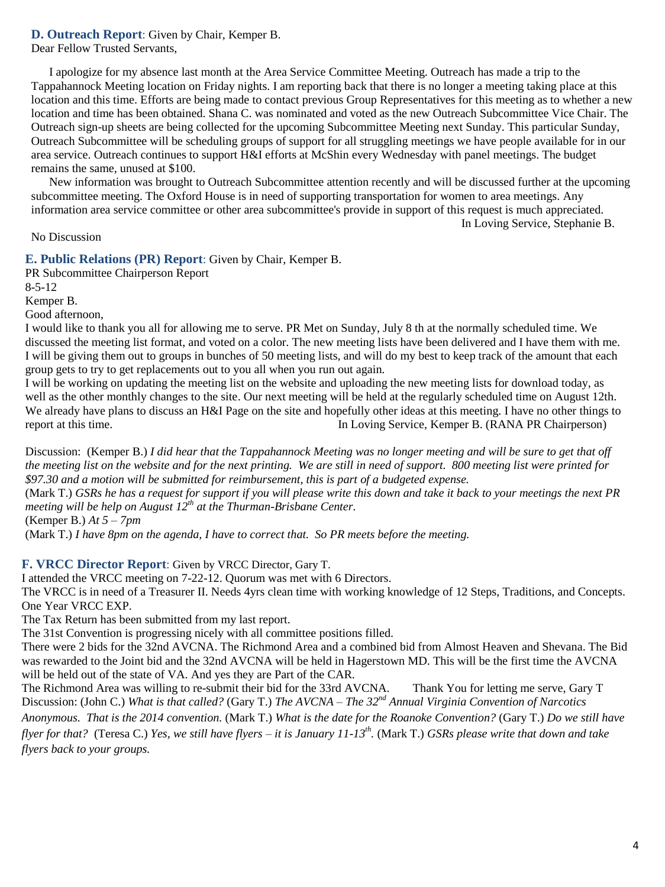### **D. Outreach Report**: Given by Chair, Kemper B.

Dear Fellow Trusted Servants,

 I apologize for my absence last month at the Area Service Committee Meeting. Outreach has made a trip to the Tappahannock Meeting location on Friday nights. I am reporting back that there is no longer a meeting taking place at this location and this time. Efforts are being made to contact previous Group Representatives for this meeting as to whether a new location and time has been obtained. Shana C. was nominated and voted as the new Outreach Subcommittee Vice Chair. The Outreach sign-up sheets are being collected for the upcoming Subcommittee Meeting next Sunday. This particular Sunday, Outreach Subcommittee will be scheduling groups of support for all struggling meetings we have people available for in our area service. Outreach continues to support H&I efforts at McShin every Wednesday with panel meetings. The budget remains the same, unused at \$100.

 New information was brought to Outreach Subcommittee attention recently and will be discussed further at the upcoming subcommittee meeting. The Oxford House is in need of supporting transportation for women to area meetings. Any information area service committee or other area subcommittee's provide in support of this request is much appreciated.

In Loving Service, Stephanie B.

#### No Discussion

#### **E. Public Relations (PR) Report**: Given by Chair, Kemper B.

PR Subcommittee Chairperson Report 8-5-12

Kemper B.

Good afternoon,

I would like to thank you all for allowing me to serve. PR Met on Sunday, July 8 th at the normally scheduled time. We discussed the meeting list format, and voted on a color. The new meeting lists have been delivered and I have them with me. I will be giving them out to groups in bunches of 50 meeting lists, and will do my best to keep track of the amount that each group gets to try to get replacements out to you all when you run out again.

I will be working on updating the meeting list on the website and uploading the new meeting lists for download today, as well as the other monthly changes to the site. Our next meeting will be held at the regularly scheduled time on August 12th. We already have plans to discuss an H&I Page on the site and hopefully other ideas at this meeting. I have no other things to report at this time. In Loving Service, Kemper B. (RANA PR Chairperson)

Discussion: (Kemper B.) *I did hear that the Tappahannock Meeting was no longer meeting and will be sure to get that off the meeting list on the website and for the next printing. We are still in need of support. 800 meeting list were printed for \$97.30 and a motion will be submitted for reimbursement, this is part of a budgeted expense.* 

(Mark T.) *GSRs he has a request for support if you will please write this down and take it back to your meetings the next PR meeting will be help on August 12th at the Thurman-Brisbane Center.*

(Kemper B.) *At 5 – 7pm*

(Mark T.) *I have 8pm on the agenda, I have to correct that. So PR meets before the meeting.*

#### **F. VRCC Director Report**: Given by VRCC Director, Gary T.

I attended the VRCC meeting on 7-22-12. Quorum was met with 6 Directors.

The VRCC is in need of a Treasurer II. Needs 4yrs clean time with working knowledge of 12 Steps, Traditions, and Concepts. One Year VRCC EXP.

The Tax Return has been submitted from my last report.

The 31st Convention is progressing nicely with all committee positions filled.

There were 2 bids for the 32nd AVCNA. The Richmond Area and a combined bid from Almost Heaven and Shevana. The Bid was rewarded to the Joint bid and the 32nd AVCNA will be held in Hagerstown MD. This will be the first time the AVCNA will be held out of the state of VA. And yes they are Part of the CAR.

The Richmond Area was willing to re-submit their bid for the 33rd AVCNA. Thank You for letting me serve, Gary T Discussion: (John C.) *What is that called?* (Gary T.) *The AVCNA – The 32nd Annual Virginia Convention of Narcotics* 

*Anonymous. That is the 2014 convention.* (Mark T.) *What is the date for the Roanoke Convention?* (Gary T.) *Do we still have flyer for that?* (Teresa C.) *Yes, we still have flyers – it is January 11-13th .* (Mark T.) *GSRs please write that down and take flyers back to your groups.*

4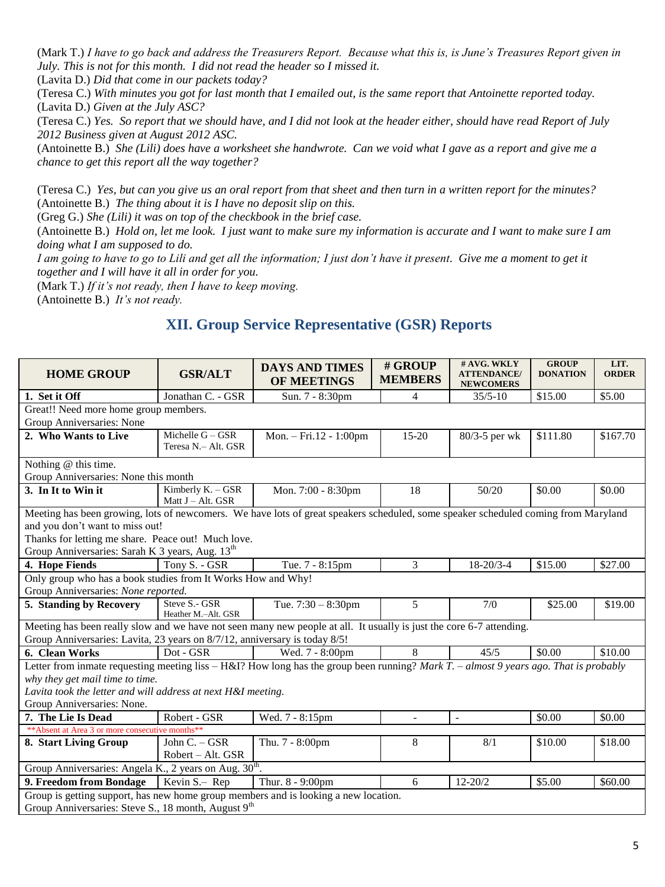(Mark T.) *I have to go back and address the Treasurers Report. Because what this is, is June's Treasures Report given in July. This is not for this month. I did not read the header so I missed it.*

(Lavita D.) *Did that come in our packets today?*

(Teresa C.) *With minutes you got for last month that I emailed out, is the same report that Antoinette reported today.* (Lavita D.) *Given at the July ASC?*

(Teresa C.) *Yes. So report that we should have, and I did not look at the header either, should have read Report of July 2012 Business given at August 2012 ASC.*

(Antoinette B.) *She (Lili) does have a worksheet she handwrote. Can we void what I gave as a report and give me a chance to get this report all the way together?*

(Teresa C.) *Yes, but can you give us an oral report from that sheet and then turn in a written report for the minutes?* (Antoinette B.) *The thing about it is I have no deposit slip on this.*

(Greg G.) *She (Lili) it was on top of the checkbook in the brief case.*

(Antoinette B.) *Hold on, let me look. I just want to make sure my information is accurate and I want to make sure I am doing what I am supposed to do.*

*I am going to have to go to Lili and get all the information; I just don't have it present. Give me a moment to get it together and I will have it all in order for you.* 

(Mark T.) *If it's not ready, then I have to keep moving.*

(Antoinette B.) *It's not ready.*

## **XII. Group Service Representative (GSR) Reports**

| <b>HOME GROUP</b>                                                                                                                         | <b>GSR/ALT</b>                            | <b>DAYS AND TIMES</b><br>OF MEETINGS | # GROUP<br><b>MEMBERS</b> | # AVG. WKLY<br><b>ATTENDANCE/</b><br><b>NEWCOMERS</b> | <b>GROUP</b><br><b>DONATION</b> | LIT.<br><b>ORDER</b> |
|-------------------------------------------------------------------------------------------------------------------------------------------|-------------------------------------------|--------------------------------------|---------------------------|-------------------------------------------------------|---------------------------------|----------------------|
| 1. Set it Off                                                                                                                             | Jonathan C. - GSR                         | Sun. 7 - 8:30pm                      | 4                         | $35/5 - 10$                                           | \$15.00                         | \$5.00               |
| Great!! Need more home group members.                                                                                                     |                                           |                                      |                           |                                                       |                                 |                      |
| Group Anniversaries: None                                                                                                                 |                                           |                                      |                           |                                                       |                                 |                      |
| 2. Who Wants to Live                                                                                                                      | Michelle $G - GSR$<br>Teresa N.- Alt. GSR | Mon. - Fri.12 - 1:00pm               | 15-20                     | 80/3-5 per wk                                         | \$111.80                        | \$167.70             |
| Nothing @ this time.                                                                                                                      |                                           |                                      |                           |                                                       |                                 |                      |
| Group Anniversaries: None this month                                                                                                      |                                           |                                      |                           |                                                       |                                 |                      |
| 3. In It to Win it                                                                                                                        | Kimberly K. - GSR<br>Matt J - Alt. GSR    | Mon. 7:00 - 8:30pm                   | 18                        | 50/20                                                 | \$0.00                          | \$0.00               |
| Meeting has been growing, lots of newcomers. We have lots of great speakers scheduled, some speaker scheduled coming from Maryland        |                                           |                                      |                           |                                                       |                                 |                      |
| and you don't want to miss out!                                                                                                           |                                           |                                      |                           |                                                       |                                 |                      |
| Thanks for letting me share. Peace out! Much love.                                                                                        |                                           |                                      |                           |                                                       |                                 |                      |
| Group Anniversaries: Sarah K 3 years, Aug. 13 <sup>th</sup>                                                                               |                                           |                                      |                           |                                                       |                                 |                      |
| 4. Hope Fiends                                                                                                                            | Tony S. - GSR                             | Tue. 7 - 8:15pm                      | 3                         | $18 - 20/3 - 4$                                       | \$15.00                         | \$27.00              |
| Only group who has a book studies from It Works How and Why!                                                                              |                                           |                                      |                           |                                                       |                                 |                      |
| Group Anniversaries: None reported.                                                                                                       |                                           |                                      |                           |                                                       |                                 |                      |
| 5. Standing by Recovery                                                                                                                   | Steve S.- GSR<br>Heather M.-Alt. GSR      | Tue. $7:30 - 8:30$ pm                | $\overline{5}$            | 7/0                                                   | \$25.00                         | \$19.00              |
| Meeting has been really slow and we have not seen many new people at all. It usually is just the core 6-7 attending.                      |                                           |                                      |                           |                                                       |                                 |                      |
| Group Anniversaries: Lavita, 23 years on 8/7/12, anniversary is today 8/5!                                                                |                                           |                                      |                           |                                                       |                                 |                      |
| 6. Clean Works                                                                                                                            | Dot - GSR                                 | Wed. 7 - 8:00pm                      | 8                         | 45/5                                                  | \$0.00                          | \$10.00              |
| Letter from inmate requesting meeting liss $-$ H&I? How long has the group been running? Mark T. $-$ almost 9 years ago. That is probably |                                           |                                      |                           |                                                       |                                 |                      |
| why they get mail time to time.                                                                                                           |                                           |                                      |                           |                                                       |                                 |                      |
| Lavita took the letter and will address at next H&I meeting.                                                                              |                                           |                                      |                           |                                                       |                                 |                      |
| Group Anniversaries: None.                                                                                                                |                                           |                                      |                           |                                                       |                                 |                      |
| 7. The Lie Is Dead                                                                                                                        | Robert - GSR                              | Wed. 7 - 8:15pm                      | $\mathbf{r}$              | $\sim$                                                | \$0.00                          | \$0.00               |
| ** Absent at Area 3 or more consecutive months**                                                                                          |                                           |                                      |                           |                                                       |                                 |                      |
| 8. Start Living Group                                                                                                                     | John C. - GSR                             | Thu. 7 - 8:00pm                      | 8                         | 8/1                                                   | \$10.00                         | \$18.00              |
|                                                                                                                                           | Robert - Alt. GSR                         |                                      |                           |                                                       |                                 |                      |
| Group Anniversaries: Angela K., 2 years on Aug. 30 <sup>th</sup> .                                                                        |                                           |                                      |                           |                                                       |                                 |                      |
| 9. Freedom from Bondage                                                                                                                   | Kevin S.- Rep                             | Thur. 8 - 9:00pm                     | 6                         | $12 - 20/2$                                           | \$5.00                          | \$60.00              |
| Group is getting support, has new home group members and is looking a new location.                                                       |                                           |                                      |                           |                                                       |                                 |                      |
| Group Anniversaries: Steve S., 18 month, August 9 <sup>th</sup>                                                                           |                                           |                                      |                           |                                                       |                                 |                      |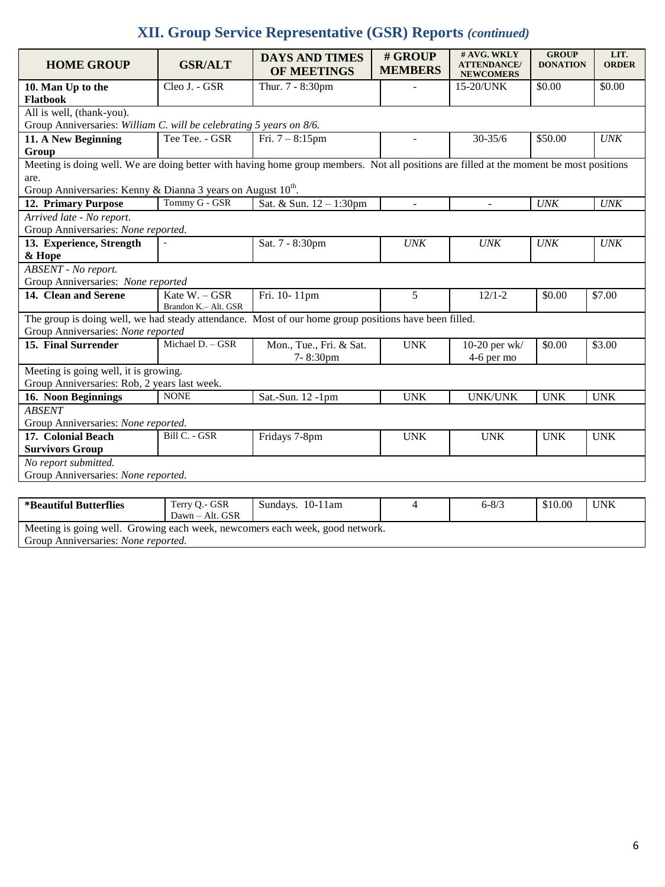## **XII. Group Service Representative (GSR) Reports** *(continued)*

| <b>HOME GROUP</b>                                                                                                                                                                                                           | <b>GSR/ALT</b>                        | <b>DAYS AND TIMES</b><br><b>OF MEETINGS</b> | # GROUP<br><b>MEMBERS</b> | # AVG. WKLY<br><b>ATTENDANCE/</b><br><b>NEWCOMERS</b> | <b>GROUP</b><br><b>DONATION</b> | LIT.<br><b>ORDER</b>        |  |
|-----------------------------------------------------------------------------------------------------------------------------------------------------------------------------------------------------------------------------|---------------------------------------|---------------------------------------------|---------------------------|-------------------------------------------------------|---------------------------------|-----------------------------|--|
| 10. Man Up to the<br>Flatbook                                                                                                                                                                                               | Cleo J. - GSR                         | Thur. 7 - 8:30pm                            |                           | 15-20/UNK                                             | \$0.00                          | \$0.00                      |  |
| All is well, (thank-you).<br>Group Anniversaries: William C. will be celebrating 5 years on 8/6.                                                                                                                            |                                       |                                             |                           |                                                       |                                 |                             |  |
| 11. A New Beginning<br>Group                                                                                                                                                                                                | Tee Tee. - GSR                        | Fri. $7 - 8:15$ pm                          |                           | $30 - 35/6$                                           | \$50.00                         | $\ensuremath{\textit{UNK}}$ |  |
| Meeting is doing well. We are doing better with having home group members. Not all positions are filled at the moment be most positions<br>are.<br>Group Anniversaries: Kenny & Dianna 3 years on August 10 <sup>th</sup> . |                                       |                                             |                           |                                                       |                                 |                             |  |
| 12. Primary Purpose                                                                                                                                                                                                         | Tommy G - GSR                         | Sat. & Sun. 12 - 1:30pm                     | $\overline{a}$            | $\overline{a}$                                        | <b>UNK</b>                      | <b>UNK</b>                  |  |
| Arrived late - No report.<br>Group Anniversaries: None reported.                                                                                                                                                            |                                       |                                             |                           |                                                       |                                 |                             |  |
| 13. Experience, Strength<br>& Hope                                                                                                                                                                                          |                                       | Sat. 7 - 8:30pm                             | <b>UNK</b>                | <b>UNK</b>                                            | <b>UNK</b>                      | UNK                         |  |
| ABSENT - No report.<br>Group Anniversaries: None reported                                                                                                                                                                   |                                       |                                             |                           |                                                       |                                 |                             |  |
| 14. Clean and Serene                                                                                                                                                                                                        | Kate W. - GSR<br>Brandon K.- Alt. GSR | Fri. 10-11pm                                | 5                         | $12/1 - 2$                                            | \$0.00                          | \$7.00                      |  |
| The group is doing well, we had steady attendance. Most of our home group positions have been filled.<br>Group Anniversaries: None reported                                                                                 |                                       |                                             |                           |                                                       |                                 |                             |  |
| 15. Final Surrender                                                                                                                                                                                                         | Michael D. - GSR                      | Mon., Tue., Fri. & Sat.<br>7-8:30pm         | <b>UNK</b>                | 10-20 per wk/<br>4-6 per mo                           | \$0.00                          | \$3.00                      |  |
| Meeting is going well, it is growing.<br>Group Anniversaries: Rob, 2 years last week.                                                                                                                                       |                                       |                                             |                           |                                                       |                                 |                             |  |
| 16. Noon Beginnings                                                                                                                                                                                                         | <b>NONE</b>                           | Sat.-Sun. 12 -1pm                           | <b>UNK</b>                | <b>UNK/UNK</b>                                        | <b>UNK</b>                      | <b>UNK</b>                  |  |
| <b>ABSENT</b><br>Group Anniversaries: None reported.                                                                                                                                                                        |                                       |                                             |                           |                                                       |                                 |                             |  |
| 17. Colonial Beach<br><b>Survivors Group</b>                                                                                                                                                                                | Bill C. - GSR                         | Fridays 7-8pm                               | <b>UNK</b>                | <b>UNK</b>                                            | <b>UNK</b>                      | <b>UNK</b>                  |  |
| No report submitted.<br>Group Anniversaries: None reported.                                                                                                                                                                 |                                       |                                             |                           |                                                       |                                 |                             |  |
|                                                                                                                                                                                                                             |                                       |                                             |                           |                                                       |                                 |                             |  |
| <i><b>*Beautiful Butterflies</b></i>                                                                                                                                                                                        | Terry Q.- GSR                         | Sundays. 10-11am                            | 4                         | $6 - 8/3$                                             | \$10.00                         | <b>UNK</b>                  |  |

| - Deauului Dutterines                                                                                                       | <b>ICITY Q.- ODIN</b><br>$Dawn - Alt. GSR$ | Sundays. TV-Train | $Q-Q/J$ | JJU.UU | UINN |
|-----------------------------------------------------------------------------------------------------------------------------|--------------------------------------------|-------------------|---------|--------|------|
| Meeting is going well. Growing each week, new comers each week, good network.<br>Group Anniversaries: <i>None reported.</i> |                                            |                   |         |        |      |
|                                                                                                                             |                                            |                   |         |        |      |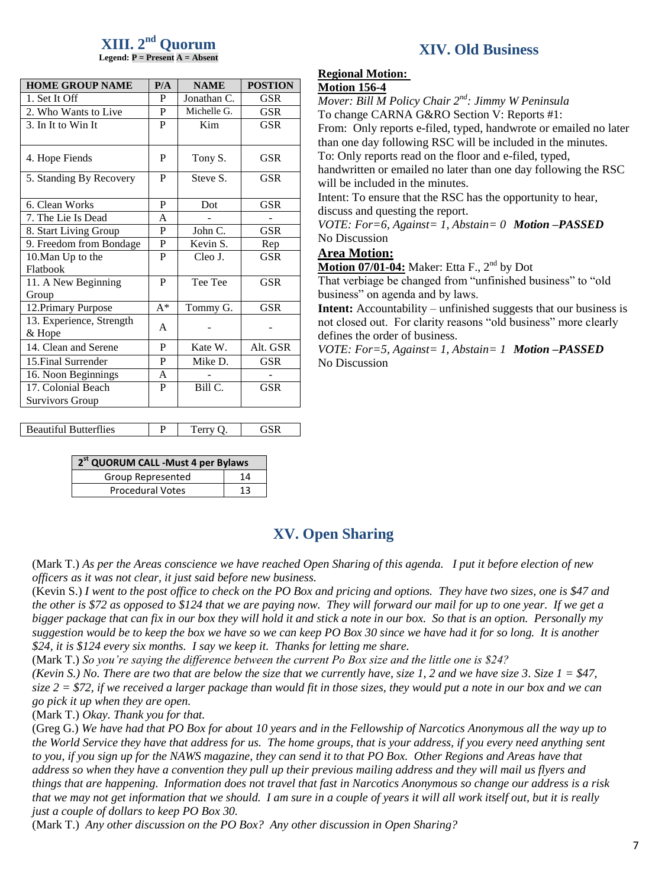## **XIII. 2 nd Quorum**

**Legend: P = Present A = Absent**

| <b>HOME GROUP NAME</b>             | P/A   | <b>NAME</b> | <b>POSTION</b> |
|------------------------------------|-------|-------------|----------------|
| 1. Set It Off                      | P     | Jonathan C. | GSR            |
| 2. Who Wants to Live               | P     | Michelle G. | GSR            |
| 3. In It to Win It                 | P     | Kim         | GSR            |
| 4. Hope Fiends                     | P     | Tony S.     | GSR            |
| 5. Standing By Recovery            | P     | Steve S.    | <b>GSR</b>     |
| 6. Clean Works                     | P     | Dot         | <b>GSR</b>     |
| 7. The Lie Is Dead                 | A     |             |                |
| 8. Start Living Group              | P     | John C.     | GSR            |
| 9. Freedom from Bondage            | P     | Kevin S.    | Rep            |
| 10. Man Up to the                  | P     | Cleo J.     | <b>GSR</b>     |
| Flatbook                           |       |             |                |
| 11. A New Beginning                | P     | Tee Tee     | <b>GSR</b>     |
| Group                              | $A^*$ |             | GSR            |
| 12. Primary Purpose                |       | Tommy G.    |                |
| 13. Experience, Strength<br>& Hope | A     |             |                |
| 14. Clean and Serene               | P     | Kate W.     | Alt. GSR       |
| 15. Final Surrender                | P     | Mike D.     | GSR            |
| 16. Noon Beginnings                | A     |             |                |
| 17. Colonial Beach                 | P     | Bill C.     | <b>GSR</b>     |
| <b>Survivors Group</b>             |       |             |                |
|                                    |       |             |                |

Beautiful Butterflies  $\vert P \vert$  Terry Q. GSR

| 2 <sup>st</sup> QUORUM CALL -Must 4 per Bylaws |    |  |  |  |
|------------------------------------------------|----|--|--|--|
| <b>Group Represented</b>                       | 14 |  |  |  |
| <b>Procedural Votes</b>                        | 13 |  |  |  |

## **XIV. Old Business**

## **Regional Motion:**

#### **Motion 156-4**

*Mover: Bill M Policy Chair 2nd: Jimmy W Peninsula* To change CARNA G&RO Section V: Reports #1:

From: Only reports e-filed, typed, handwrote or emailed no later than one day following RSC will be included in the minutes.

To: Only reports read on the floor and e-filed, typed,

handwritten or emailed no later than one day following the RSC will be included in the minutes.

Intent: To ensure that the RSC has the opportunity to hear, discuss and questing the report.

*VOTE: For=6, Against= 1, Abstain= 0 Motion –PASSED* No Discussion

#### **Area Motion:**

**Motion 07/01-04:** Maker: Etta F., 2<sup>nd</sup> by Dot

That verbiage be changed from "unfinished business" to "old business" on agenda and by laws.

**Intent:** Accountability – unfinished suggests that our business is not closed out. For clarity reasons "old business" more clearly defines the order of business.

*VOTE: For=5, Against= 1, Abstain= 1 Motion –PASSED* No Discussion

## **XV. Open Sharing**

(Mark T.) *As per the Areas conscience we have reached Open Sharing of this agenda. I put it before election of new officers as it was not clear, it just said before new business.*

(Kevin S.) *I went to the post office to check on the PO Box and pricing and options. They have two sizes, one is \$47 and the other is \$72 as opposed to \$124 that we are paying now. They will forward our mail for up to one year. If we get a bigger package that can fix in our box they will hold it and stick a note in our box. So that is an option. Personally my suggestion would be to keep the box we have so we can keep PO Box 30 since we have had it for so long. It is another \$24, it is \$124 every six months. I say we keep it. Thanks for letting me share.*

(Mark T.) *So you're saying the difference between the current Po Box size and the little one is \$24?*

*(Kevin S.) No. There are two that are below the size that we currently have, size 1, 2 and we have size 3. Size 1 = \$47, size 2 = \$72, if we received a larger package than would fit in those sizes, they would put a note in our box and we can go pick it up when they are open.*

(Mark T.) *Okay. Thank you for that.*

(Greg G.) *We have had that PO Box for about 10 years and in the Fellowship of Narcotics Anonymous all the way up to the World Service they have that address for us. The home groups, that is your address, if you every need anything sent to you, if you sign up for the NAWS magazine, they can send it to that PO Box. Other Regions and Areas have that address so when they have a convention they pull up their previous mailing address and they will mail us flyers and things that are happening. Information does not travel that fast in Narcotics Anonymous so change our address is a risk that we may not get information that we should. I am sure in a couple of years it will all work itself out, but it is really just a couple of dollars to keep PO Box 30.* 

(Mark T.) *Any other discussion on the PO Box? Any other discussion in Open Sharing?*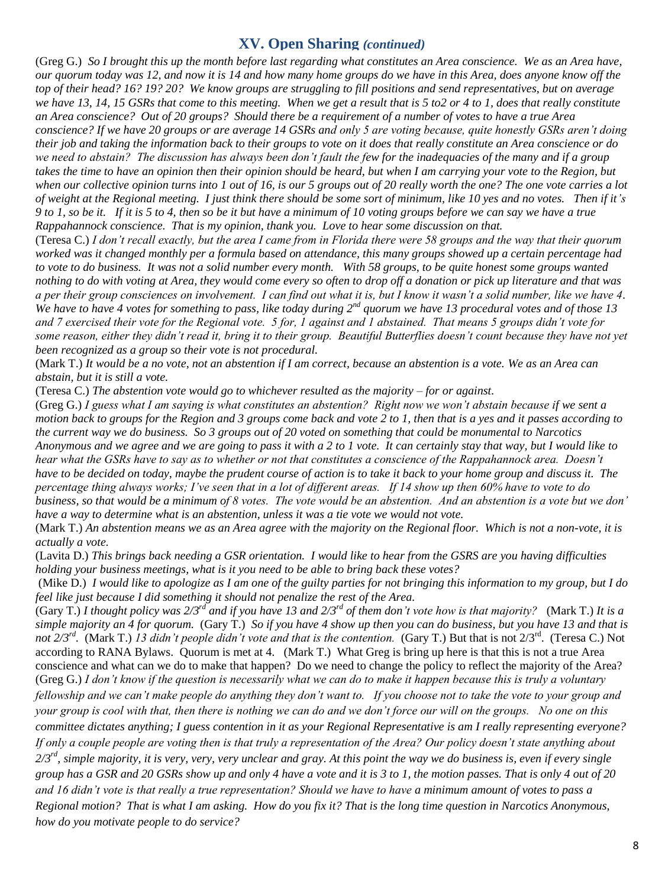## **XV. Open Sharing** *(continued)*

(Greg G.) *So I brought this up the month before last regarding what constitutes an Area conscience. We as an Area have, our quorum today was 12, and now it is 14 and how many home groups do we have in this Area, does anyone know off the top of their head? 16? 19? 20? We know groups are struggling to fill positions and send representatives, but on average we have 13, 14, 15 GSRs that come to this meeting. When we get a result that is 5 to2 or 4 to 1, does that really constitute an Area conscience? Out of 20 groups? Should there be a requirement of a number of votes to have a true Area conscience? If we have 20 groups or are average 14 GSRs and only 5 are voting because, quite honestly GSRs aren't doing their job and taking the information back to their groups to vote on it does that really constitute an Area conscience or do we need to abstain? The discussion has always been don't fault the few for the inadequacies of the many and if a group takes the time to have an opinion then their opinion should be heard, but when I am carrying your vote to the Region, but when our collective opinion turns into 1 out of 16, is our 5 groups out of 20 really worth the one? The one vote carries a lot of weight at the Regional meeting. I just think there should be some sort of minimum, like 10 yes and no votes. Then if it's 9 to 1, so be it. If it is 5 to 4, then so be it but have a minimum of 10 voting groups before we can say we have a true Rappahannock conscience. That is my opinion, thank you. Love to hear some discussion on that.*

(Teresa C.) *I don't recall exactly, but the area I came from in Florida there were 58 groups and the way that their quorum worked was it changed monthly per a formula based on attendance, this many groups showed up a certain percentage had to vote to do business. It was not a solid number every month. With 58 groups, to be quite honest some groups wanted nothing to do with voting at Area, they would come every so often to drop off a donation or pick up literature and that was a per their group consciences on involvement. I can find out what it is, but I know it wasn't a solid number, like we have 4. We have to have 4 votes for something to pass, like today during 2nd quorum we have 13 procedural votes and of those 13 and 7 exercised their vote for the Regional vote. 5 for, 1 against and 1 abstained. That means 5 groups didn't vote for some reason, either they didn't read it, bring it to their group. Beautiful Butterflies doesn't count because they have not yet been recognized as a group so their vote is not procedural.* 

(Mark T.) *It would be a no vote, not an abstention if I am correct, because an abstention is a vote. We as an Area can abstain, but it is still a vote.*

(Teresa C.) *The abstention vote would go to whichever resulted as the majority – for or against.*

(Greg G.) *I guess what I am saying is what constitutes an abstention? Right now we won't abstain because if we sent a motion back to groups for the Region and 3 groups come back and vote 2 to 1, then that is a yes and it passes according to the current way we do business. So 3 groups out of 20 voted on something that could be monumental to Narcotics Anonymous and we agree and we are going to pass it with a 2 to 1 vote. It can certainly stay that way, but I would like to hear what the GSRs have to say as to whether or not that constitutes a conscience of the Rappahannock area. Doesn't have to be decided on today, maybe the prudent course of action is to take it back to your home group and discuss it. The percentage thing always works; I've seen that in a lot of different areas. If 14 show up then 60% have to vote to do business, so that would be a minimum of 8 votes. The vote would be an abstention. And an abstention is a vote but we don' have a way to determine what is an abstention, unless it was a tie vote we would not vote.*

(Mark T.) *An abstention means we as an Area agree with the majority on the Regional floor. Which is not a non-vote, it is actually a vote.*

(Lavita D.) *This brings back needing a GSR orientation. I would like to hear from the GSRS are you having difficulties holding your business meetings, what is it you need to be able to bring back these votes?*

(Mike D.) *I would like to apologize as I am one of the guilty parties for not bringing this information to my group, but I do feel like just because I did something it should not penalize the rest of the Area.* 

(Gary T.) *I thought policy was*  $2/3^{rd}$  *and if you have 13 and*  $2/3^{rd}$  *of them don't vote how is that majority? (Mark T.) It is a simple majority an 4 for quorum.* (Gary T.) *So if you have 4 show up then you can do business, but you have 13 and that is*  not 2/3<sup>rd</sup>. (Mark T.) 13 didn't people didn't vote and that is the contention. (Gary T.) But that is not 2/3<sup>rd</sup>. (Teresa C.) Not according to RANA Bylaws. Quorum is met at 4. (Mark T.) What Greg is bring up here is that this is not a true Area conscience and what can we do to make that happen? Do we need to change the policy to reflect the majority of the Area? (Greg G.) *I don't know if the question is necessarily what we can do to make it happen because this is truly a voluntary fellowship and we can't make people do anything they don't want to. If you choose not to take the vote to your group and your group is cool with that, then there is nothing we can do and we don't force our will on the groups. No one on this committee dictates anything; I guess contention in it as your Regional Representative is am I really representing everyone? If only a couple people are voting then is that truly a representation of the Area? Our policy doesn't state anything about 2/3rd, simple majority, it is very, very, very unclear and gray. At this point the way we do business is, even if every single group has a GSR and 20 GSRs show up and only 4 have a vote and it is 3 to 1, the motion passes. That is only 4 out of 20 and 16 didn't vote is that really a true representation? Should we have to have a minimum amount of votes to pass a Regional motion? That is what I am asking. How do you fix it? That is the long time question in Narcotics Anonymous, how do you motivate people to do service?*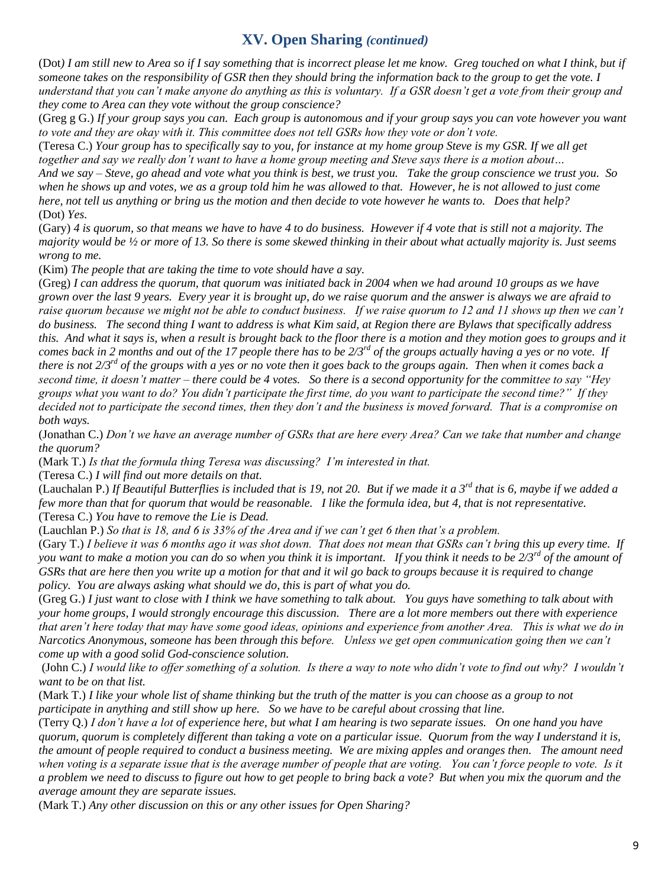## **XV. Open Sharing** *(continued)*

(Dot*) I am still new to Area so if I say something that is incorrect please let me know. Greg touched on what I think, but if someone takes on the responsibility of GSR then they should bring the information back to the group to get the vote. I understand that you can't make anyone do anything as this is voluntary. If a GSR doesn't get a vote from their group and they come to Area can they vote without the group conscience?* 

(Greg g G.) *If your group says you can. Each group is autonomous and if your group says you can vote however you want to vote and they are okay with it. This committee does not tell GSRs how they vote or don't vote.* 

(Teresa C.) *Your group has to specifically say to you, for instance at my home group Steve is my GSR. If we all get together and say we really don't want to have a home group meeting and Steve says there is a motion about…* 

*And we say – Steve, go ahead and vote what you think is best, we trust you. Take the group conscience we trust you. So when he shows up and votes, we as a group told him he was allowed to that. However, he is not allowed to just come here, not tell us anything or bring us the motion and then decide to vote however he wants to. Does that help?* (Dot) *Yes.* 

(Gary) *4 is quorum, so that means we have to have 4 to do business. However if 4 vote that is still not a majority. The majority would be ½ or more of 13. So there is some skewed thinking in their about what actually majority is. Just seems wrong to me.* 

(Kim) *The people that are taking the time to vote should have a say.*

(Greg) *I can address the quorum, that quorum was initiated back in 2004 when we had around 10 groups as we have grown over the last 9 years. Every year it is brought up, do we raise quorum and the answer is always we are afraid to raise quorum because we might not be able to conduct business. If we raise quorum to 12 and 11 shows up then we can't do business. The second thing I want to address is what Kim said, at Region there are Bylaws that specifically address this. And what it says is, when a result is brought back to the floor there is a motion and they motion goes to groups and it comes back in 2 months and out of the 17 people there has to be 2/3rd of the groups actually having a yes or no vote. If there is not 2/3rd of the groups with a yes or no vote then it goes back to the groups again. Then when it comes back a second time, it doesn't matter – there could be 4 votes. So there is a second opportunity for the committee to say "Hey groups what you want to do? You didn't participate the first time, do you want to participate the second time?" If they decided not to participate the second times, then they don't and the business is moved forward. That is a compromise on both ways.* 

(Jonathan C.) *Don't we have an average number of GSRs that are here every Area? Can we take that number and change the quorum?*

(Mark T.) *Is that the formula thing Teresa was discussing? I'm interested in that.*

(Teresa C.) *I will find out more details on that.* 

(Lauchalan P.) *If Beautiful Butterflies is included that is 19, not 20. But if we made it a 3rd that is 6, maybe if we added a few more than that for quorum that would be reasonable. I like the formula idea, but 4, that is not representative.*  (Teresa C.) *You have to remove the Lie is Dead.*

(Lauchlan P.) *So that is 18, and 6 is 33% of the Area and if we can't get 6 then that's a problem.* 

(Gary T.) *I believe it was 6 months ago it was shot down. That does not mean that GSRs can't bring this up every time. If you want to make a motion you can do so when you think it is important. If you think it needs to be 2/3rd of the amount of GSRs that are here then you write up a motion for that and it wil go back to groups because it is required to change policy. You are always asking what should we do, this is part of what you do.* 

(Greg G.) *I just want to close with I think we have something to talk about. You guys have something to talk about with your home groups, I would strongly encourage this discussion. There are a lot more members out there with experience that aren't here today that may have some good ideas, opinions and experience from another Area. This is what we do in Narcotics Anonymous, someone has been through this before. Unless we get open communication going then we can't come up with a good solid God-conscience solution.* 

(John C.) *I would like to offer something of a solution. Is there a way to note who didn't vote to find out why? I wouldn't want to be on that list.*

(Mark T.) *I like your whole list of shame thinking but the truth of the matter is you can choose as a group to not participate in anything and still show up here. So we have to be careful about crossing that line.* 

(Terry Q.) *I don't have a lot of experience here, but what I am hearing is two separate issues. On one hand you have quorum, quorum is completely different than taking a vote on a particular issue. Quorum from the way I understand it is, the amount of people required to conduct a business meeting. We are mixing apples and oranges then. The amount need when voting is a separate issue that is the average number of people that are voting. You can't force people to vote. Is it a problem we need to discuss to figure out how to get people to bring back a vote? But when you mix the quorum and the average amount they are separate issues.* 

(Mark T.) *Any other discussion on this or any other issues for Open Sharing?*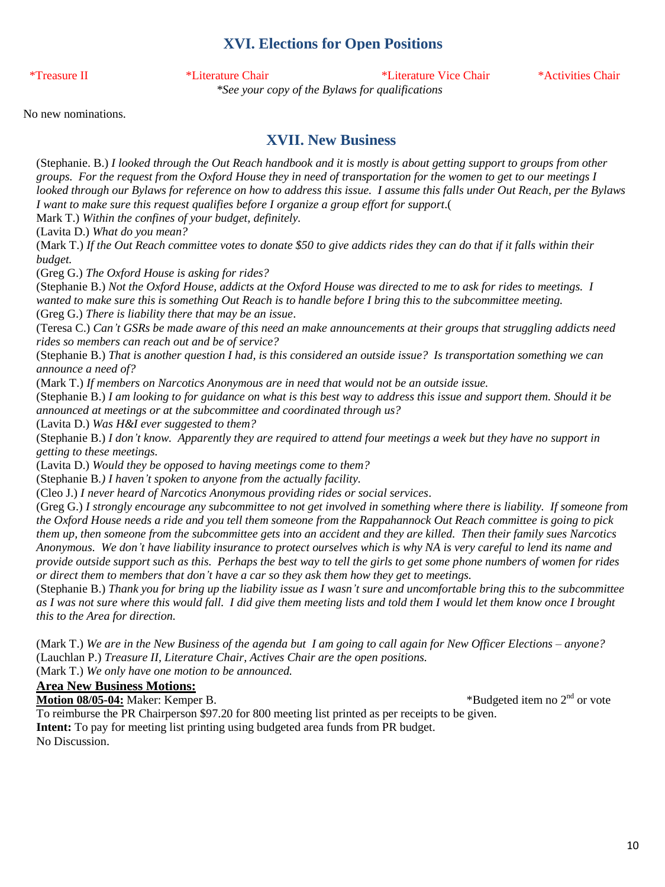## **XVI. Elections for Open Positions**

\*Treasure II \*Literature Chair \*Literature Vice Chair \*Activities Chair

*\*See your copy of the Bylaws for qualifications*

No new nominations.

## **XVII. New Business**

(Stephanie. B.) *I looked through the Out Reach handbook and it is mostly is about getting support to groups from other groups. For the request from the Oxford House they in need of transportation for the women to get to our meetings I looked through our Bylaws for reference on how to address this issue. I assume this falls under Out Reach, per the Bylaws I want to make sure this request qualifies before I organize a group effort for support*.( Mark T.) *Within the confines of your budget, definitely.* (Lavita D.) *What do you mean?* (Mark T.) *If the Out Reach committee votes to donate \$50 to give addicts rides they can do that if it falls within their budget.* (Greg G.) *The Oxford House is asking for rides?* (Stephanie B.) *Not the Oxford House, addicts at the Oxford House was directed to me to ask for rides to meetings. I wanted to make sure this is something Out Reach is to handle before I bring this to the subcommittee meeting.* (Greg G.) *There is liability there that may be an issue*. (Teresa C.) *Can't GSRs be made aware of this need an make announcements at their groups that struggling addicts need rides so members can reach out and be of service?* (Stephanie B.) *That is another question I had, is this considered an outside issue? Is transportation something we can announce a need of?* (Mark T.) *If members on Narcotics Anonymous are in need that would not be an outside issue.* (Stephanie B.) *I am looking to for guidance on what is this best way to address this issue and support them. Should it be announced at meetings or at the subcommittee and coordinated through us?* (Lavita D.) *Was H&I ever suggested to them?* (Stephanie B.) *I don't know. Apparently they are required to attend four meetings a week but they have no support in getting to these meetings.* (Lavita D.) *Would they be opposed to having meetings come to them?* (Stephanie B*.) I haven't spoken to anyone from the actually facility.* (Cleo J.) *I never heard of Narcotics Anonymous providing rides or social services*. (Greg G.) *I strongly encourage any subcommittee to not get involved in something where there is liability. If someone from the Oxford House needs a ride and you tell them someone from the Rappahannock Out Reach committee is going to pick them up, then someone from the subcommittee gets into an accident and they are killed. Then their family sues Narcotics Anonymous. We don't have liability insurance to protect ourselves which is why NA is very careful to lend its name and provide outside support such as this. Perhaps the best way to tell the girls to get some phone numbers of women for rides or direct them to members that don't have a car so they ask them how they get to meetings.* (Stephanie B.) *Thank you for bring up the liability issue as I wasn't sure and uncomfortable bring this to the subcommittee as I was not sure where this would fall. I did give them meeting lists and told them I would let them know once I brought this to the Area for direction.*

(Mark T.) *We are in the New Business of the agenda but I am going to call again for New Officer Elections – anyone?* (Lauchlan P.) *Treasure II, Literature Chair, Actives Chair are the open positions.*

## (Mark T.) *We only have one motion to be announced.*

## **Area New Business Motions:**

**Motion 08/05-04:** Maker: Kemper B. \*Budgeted item no 2nd or vote

To reimburse the PR Chairperson \$97.20 for 800 meeting list printed as per receipts to be given. **Intent:** To pay for meeting list printing using budgeted area funds from PR budget. No Discussion.